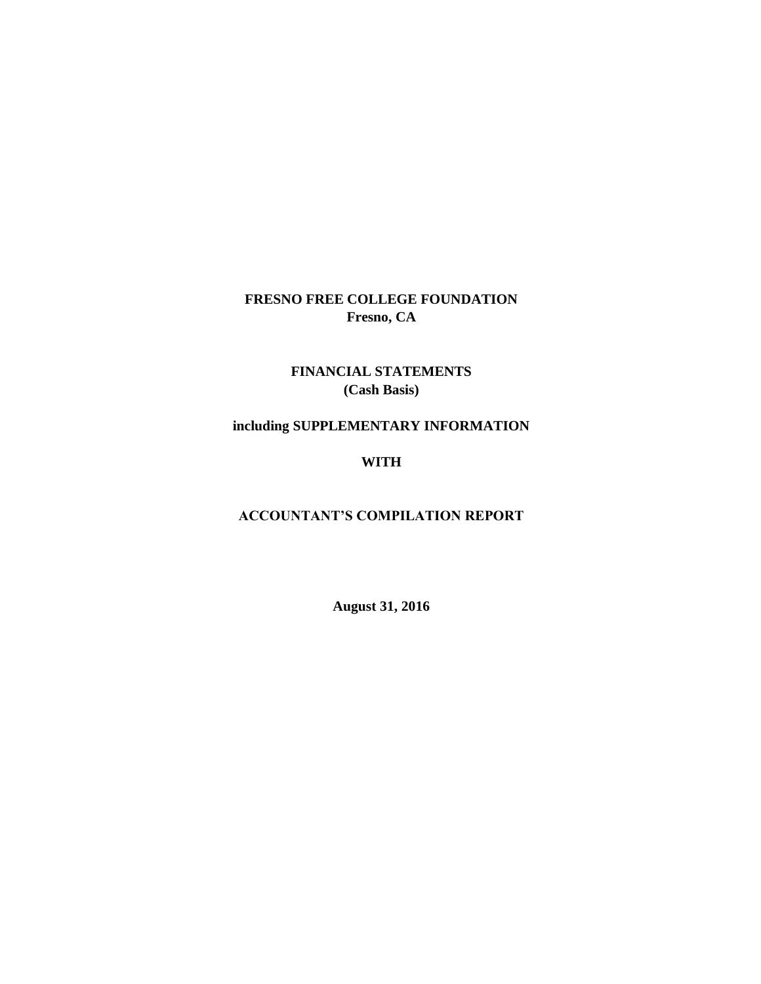## **FRESNO FREE COLLEGE FOUNDATION Fresno, CA**

### **FINANCIAL STATEMENTS (Cash Basis)**

## **including SUPPLEMENTARY INFORMATION**

### **WITH**

## **ACCOUNTANT'S COMPILATION REPORT**

**August 31, 2016**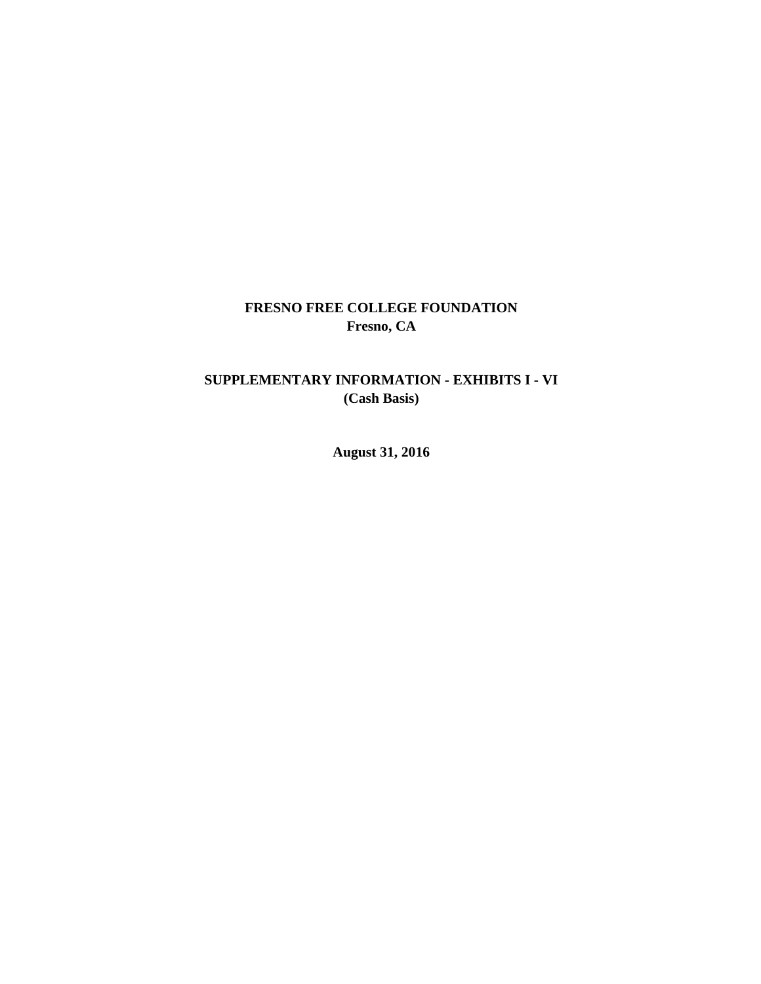### **FRESNO FREE COLLEGE FOUNDATION Fresno, CA**

## **SUPPLEMENTARY INFORMATION - EXHIBITS I - VI (Cash Basis)**

**August 31, 2016**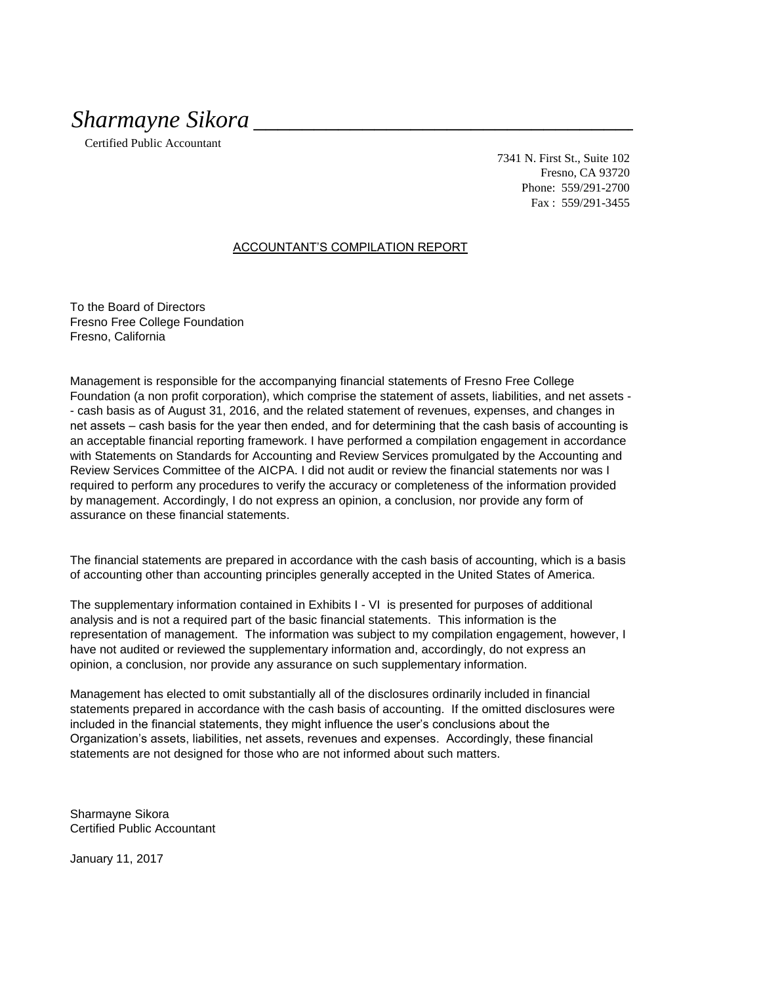# *Sharmayne Sikora* \_\_\_\_\_\_\_\_\_\_\_\_\_\_\_\_\_\_\_\_\_\_\_\_\_\_\_\_\_\_\_\_\_

Certified Public Accountant

7341 N. First St., Suite 102 Fresno, CA 93720 Phone: 559/291-2700 Fax : 559/291-3455

#### ACCOUNTANT'S COMPILATION REPORT

To the Board of Directors Fresno Free College Foundation Fresno, California

Management is responsible for the accompanying financial statements of Fresno Free College Foundation (a non profit corporation), which comprise the statement of assets, liabilities, and net assets - - cash basis as of August 31, 2016, and the related statement of revenues, expenses, and changes in net assets – cash basis for the year then ended, and for determining that the cash basis of accounting is an acceptable financial reporting framework. I have performed a compilation engagement in accordance with Statements on Standards for Accounting and Review Services promulgated by the Accounting and Review Services Committee of the AICPA. I did not audit or review the financial statements nor was I required to perform any procedures to verify the accuracy or completeness of the information provided by management. Accordingly, I do not express an opinion, a conclusion, nor provide any form of assurance on these financial statements.

The financial statements are prepared in accordance with the cash basis of accounting, which is a basis of accounting other than accounting principles generally accepted in the United States of America.

The supplementary information contained in Exhibits I - VI is presented for purposes of additional analysis and is not a required part of the basic financial statements. This information is the representation of management. The information was subject to my compilation engagement, however, I have not audited or reviewed the supplementary information and, accordingly, do not express an opinion, a conclusion, nor provide any assurance on such supplementary information.

Management has elected to omit substantially all of the disclosures ordinarily included in financial statements prepared in accordance with the cash basis of accounting. If the omitted disclosures were included in the financial statements, they might influence the user's conclusions about the Organization's assets, liabilities, net assets, revenues and expenses. Accordingly, these financial statements are not designed for those who are not informed about such matters.

Sharmayne Sikora Certified Public Accountant

January 11, 2017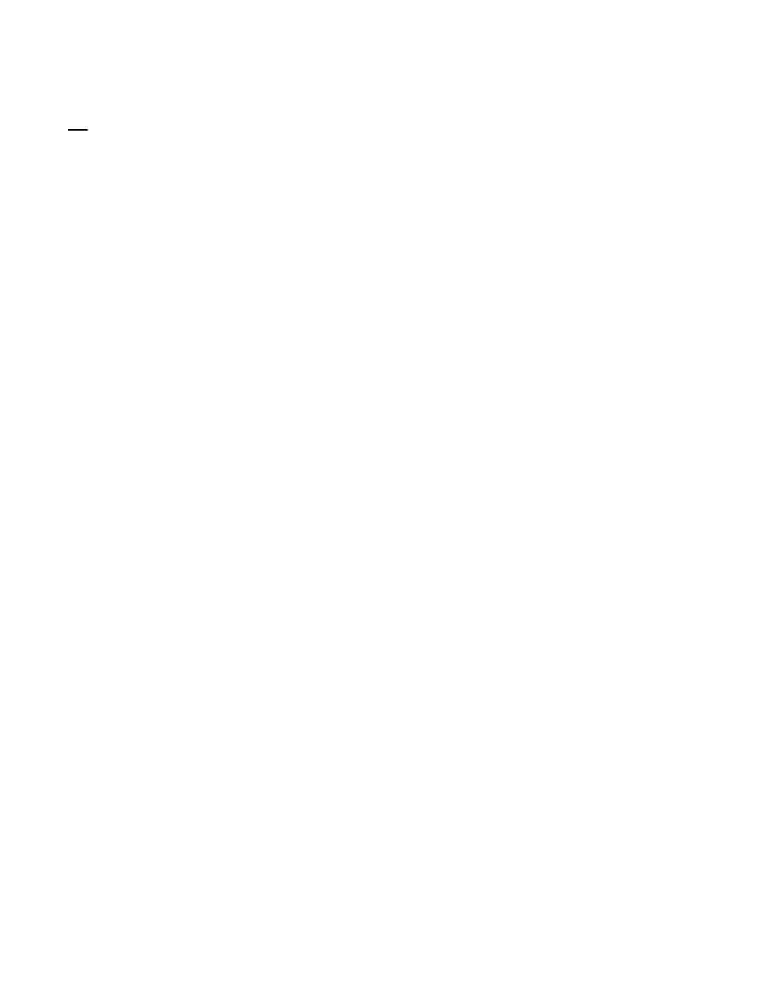*Sharmayne Sikora* \_\_\_\_\_\_\_\_\_\_\_\_\_\_\_\_\_\_\_\_\_\_\_\_\_\_\_\_\_\_\_\_\_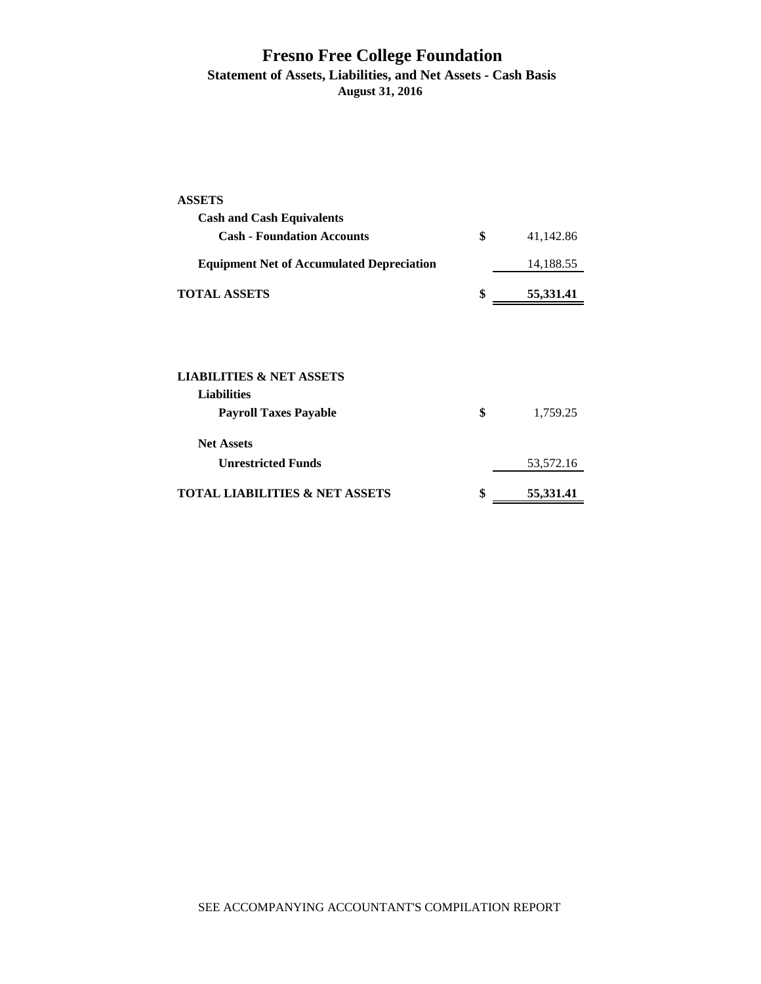### **Fresno Free College Foundation Statement of Assets, Liabilities, and Net Assets - Cash Basis August 31, 2016**

| <b>ASSETS</b>                                                                             |                 |
|-------------------------------------------------------------------------------------------|-----------------|
| <b>Cash and Cash Equivalents</b>                                                          |                 |
| <b>Cash - Foundation Accounts</b>                                                         | \$<br>41,142.86 |
| <b>Equipment Net of Accumulated Depreciation</b>                                          | 14,188.55       |
| <b>TOTAL ASSETS</b>                                                                       | \$<br>55,331.41 |
| <b>LIABILITIES &amp; NET ASSETS</b><br><b>Liabilities</b><br><b>Payroll Taxes Payable</b> | \$<br>1,759.25  |
| <b>Net Assets</b>                                                                         |                 |
| <b>Unrestricted Funds</b>                                                                 | 53,572.16       |
| <b>TOTAL LIABILITIES &amp; NET ASSETS</b>                                                 | \$<br>55,331.41 |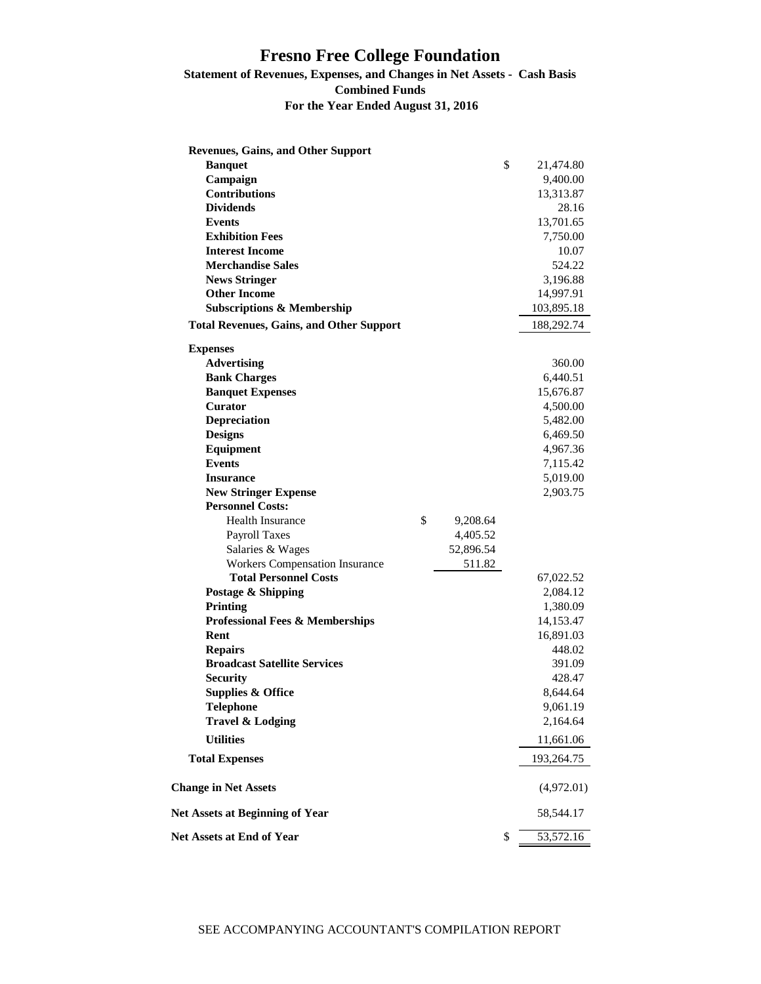#### **Statement of Revenues, Expenses, and Changes in Net Assets - Cash Basis Combined Funds For the Year Ended August 31, 2016**

| <b>Revenues, Gains, and Other Support</b>        |                |                      |
|--------------------------------------------------|----------------|----------------------|
| <b>Banquet</b>                                   |                | \$<br>21,474.80      |
| Campaign                                         |                | 9,400.00             |
| <b>Contributions</b>                             |                | 13,313.87            |
| <b>Dividends</b>                                 |                | 28.16                |
| <b>Events</b>                                    |                | 13,701.65            |
| <b>Exhibition Fees</b>                           |                | 7,750.00             |
| <b>Interest Income</b>                           |                | 10.07                |
| <b>Merchandise Sales</b>                         |                | 524.22               |
| <b>News Stringer</b>                             |                | 3,196.88             |
| <b>Other Income</b>                              |                | 14,997.91            |
| <b>Subscriptions &amp; Membership</b>            |                | 103,895.18           |
| <b>Total Revenues, Gains, and Other Support</b>  |                | 188,292.74           |
| <b>Expenses</b>                                  |                |                      |
| <b>Advertising</b>                               |                | 360.00               |
| <b>Bank Charges</b>                              |                | 6,440.51             |
| <b>Banquet Expenses</b>                          |                | 15,676.87            |
| <b>Curator</b>                                   |                | 4,500.00             |
| Depreciation                                     |                | 5,482.00             |
| <b>Designs</b>                                   |                | 6,469.50             |
| Equipment                                        |                | 4,967.36             |
| <b>Events</b>                                    |                | 7,115.42             |
| <b>Insurance</b>                                 |                | 5,019.00             |
| <b>New Stringer Expense</b>                      |                | 2,903.75             |
| <b>Personnel Costs:</b>                          |                |                      |
| <b>Health Insurance</b>                          | \$<br>9,208.64 |                      |
| <b>Payroll Taxes</b>                             | 4,405.52       |                      |
| Salaries & Wages                                 | 52,896.54      |                      |
| <b>Workers Compensation Insurance</b>            | 511.82         |                      |
| <b>Total Personnel Costs</b>                     |                | 67,022.52            |
| Postage & Shipping                               |                | 2,084.12             |
| Printing                                         |                | 1,380.09             |
| <b>Professional Fees &amp; Memberships</b>       |                | 14,153.47            |
| Rent                                             |                | 16,891.03            |
| <b>Repairs</b>                                   |                | 448.02               |
| <b>Broadcast Satellite Services</b>              |                | 391.09               |
| <b>Security</b>                                  |                | 428.47               |
| <b>Supplies &amp; Office</b><br><b>Telephone</b> |                | 8,644.64<br>9,061.19 |
|                                                  |                |                      |
| <b>Travel &amp; Lodging</b>                      |                | 2,164.64             |
| <b>Utilities</b>                                 |                | 11,661.06            |
| <b>Total Expenses</b>                            |                | 193,264.75           |
| <b>Change in Net Assets</b>                      |                | (4,972.01)           |
| <b>Net Assets at Beginning of Year</b>           |                | 58,544.17            |
| Net Assets at End of Year                        |                | \$<br>53,572.16      |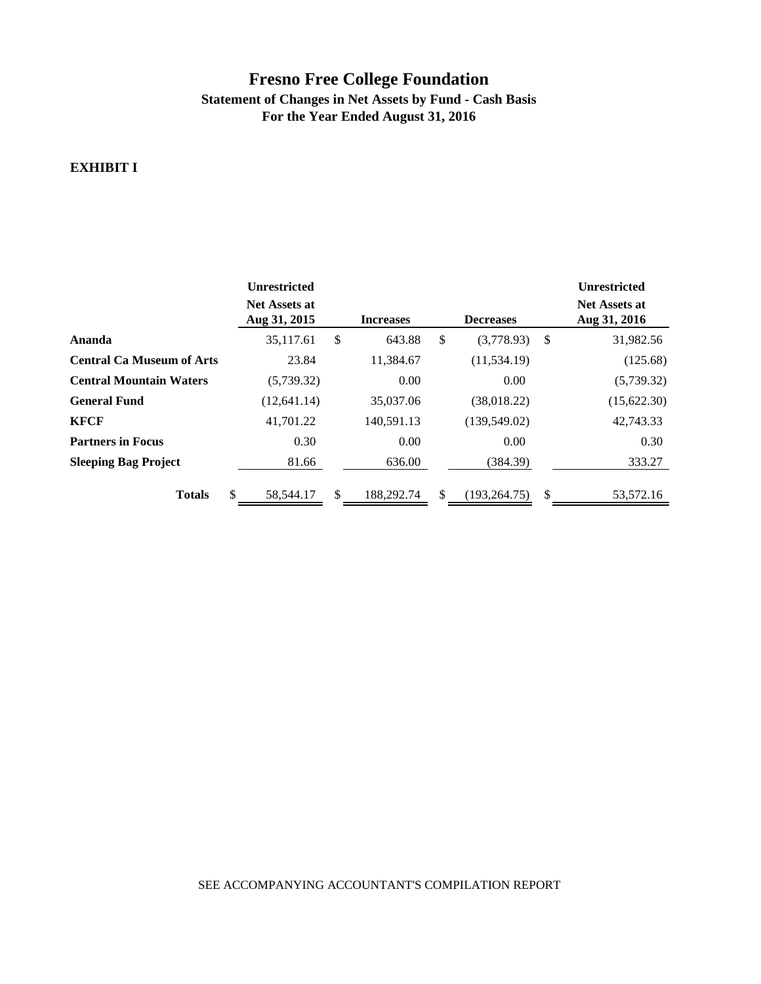## **For the Year Ended August 31, 2016 Statement of Changes in Net Assets by Fund - Cash Basis**

#### **EXHIBIT I**

|                                  | <b>Unrestricted</b><br><b>Net Assets at</b><br>Aug 31, 2015 |     | <b>Increases</b> | <b>Decreases</b>    |    | <b>Unrestricted</b><br><b>Net Assets at</b><br>Aug 31, 2016 |
|----------------------------------|-------------------------------------------------------------|-----|------------------|---------------------|----|-------------------------------------------------------------|
| Ananda                           | 35,117.61                                                   | \$  | 643.88           | \$<br>(3,778.93)    | \$ | 31,982.56                                                   |
| <b>Central Ca Museum of Arts</b> | 23.84                                                       |     | 11,384.67        | (11, 534.19)        |    | (125.68)                                                    |
| <b>Central Mountain Waters</b>   | (5,739.32)                                                  |     | 0.00             | 0.00                |    | (5,739.32)                                                  |
| <b>General Fund</b>              | (12, 641.14)                                                |     | 35,037.06        | (38,018.22)         |    | (15,622.30)                                                 |
| KFCF                             | 41,701.22                                                   |     | 140,591.13       | (139, 549.02)       |    | 42,743.33                                                   |
| <b>Partners in Focus</b>         | 0.30                                                        |     | 0.00             | 0.00                |    | 0.30                                                        |
| <b>Sleeping Bag Project</b>      | 81.66                                                       |     | 636.00           | (384.39)            |    | 333.27                                                      |
| <b>Totals</b>                    | \$<br>58,544.17                                             | \$. | 188,292.74       | \$<br>(193, 264.75) | S. | 53,572.16                                                   |

#### SEE ACCOMPANYING ACCOUNTANT'S COMPILATION REPORT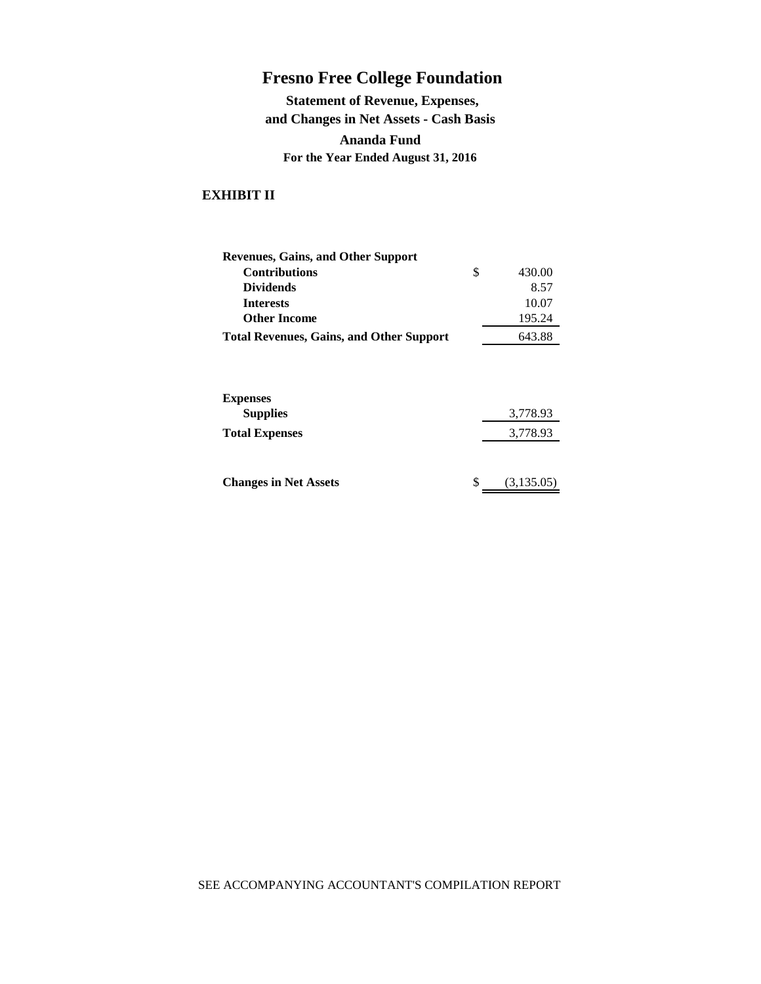**Statement of Revenue, Expenses, and Changes in Net Assets - Cash Basis Ananda Fund For the Year Ended August 31, 2016**

#### **EXHIBIT II**

| <b>Revenues, Gains, and Other Support</b>       |        |
|-------------------------------------------------|--------|
| <b>Contributions</b>                            | 430.00 |
| <b>Dividends</b>                                | 8.57   |
| <b>Interests</b>                                | 10.07  |
| <b>Other Income</b>                             | 195.24 |
| <b>Total Revenues, Gains, and Other Support</b> | 643.88 |
|                                                 |        |

| <b>Expenses</b>              |   |            |
|------------------------------|---|------------|
| <b>Supplies</b>              |   | 3,778.93   |
| <b>Total Expenses</b>        |   | 3,778.93   |
|                              |   |            |
|                              |   |            |
| <b>Changes in Net Assets</b> | S | (3,135.05) |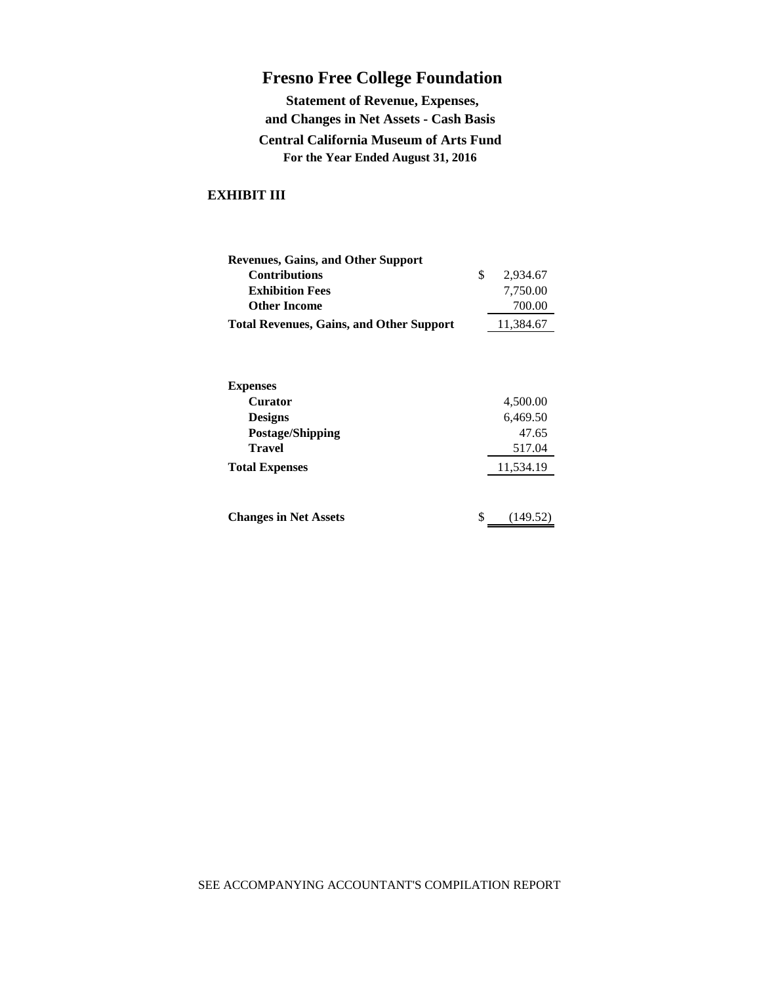**Statement of Revenue, Expenses, and Changes in Net Assets - Cash Basis Central California Museum of Arts Fund For the Year Ended August 31, 2016**

#### **EXHIBIT III**

| <b>Revenues, Gains, and Other Support</b>       |   |           |
|-------------------------------------------------|---|-----------|
| <b>Contributions</b>                            | S | 2.934.67  |
| <b>Exhibition Fees</b>                          |   | 7,750.00  |
| <b>Other Income</b>                             |   | 700.00    |
| <b>Total Revenues, Gains, and Other Support</b> |   | 11,384.67 |
|                                                 |   |           |

| <b>Expenses</b>              |                |
|------------------------------|----------------|
| <b>Curator</b>               | 4,500.00       |
| <b>Designs</b>               | 6,469.50       |
| <b>Postage/Shipping</b>      | 47.65          |
| <b>Travel</b>                | 517.04         |
| <b>Total Expenses</b>        | 11,534.19      |
|                              |                |
| <b>Changes in Net Assets</b> | \$<br>(149.52) |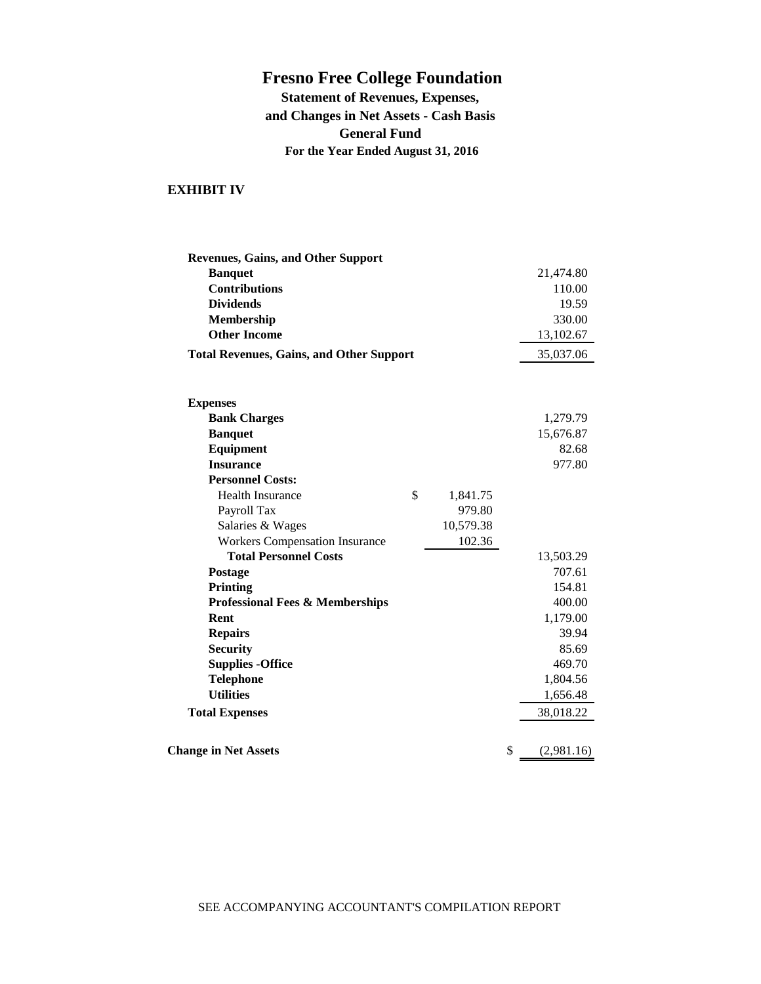**Statement of Revenues, Expenses, and Changes in Net Assets - Cash Basis General Fund For the Year Ended August 31, 2016**

#### **EXHIBIT IV**

| <b>Total Revenues, Gains, and Other Support</b> |           | 21,474.80<br>110.00<br>19.59<br>330.00<br>13,102.67<br>35,037.06 |
|-------------------------------------------------|-----------|------------------------------------------------------------------|
|                                                 |           |                                                                  |
|                                                 |           |                                                                  |
|                                                 |           |                                                                  |
|                                                 |           |                                                                  |
|                                                 |           |                                                                  |
|                                                 |           |                                                                  |
|                                                 |           |                                                                  |
|                                                 |           | 1,279.79                                                         |
|                                                 |           | 15,676.87                                                        |
|                                                 |           | 82.68                                                            |
|                                                 |           | 977.80                                                           |
|                                                 |           |                                                                  |
| \$                                              | 1,841.75  |                                                                  |
|                                                 | 979.80    |                                                                  |
|                                                 | 10,579.38 |                                                                  |
|                                                 | 102.36    |                                                                  |
|                                                 |           | 13,503.29                                                        |
|                                                 |           | 707.61                                                           |
|                                                 |           | 154.81                                                           |
|                                                 |           | 400.00                                                           |
|                                                 |           | 1,179.00                                                         |
|                                                 |           | 39.94                                                            |
|                                                 |           | 85.69                                                            |
|                                                 |           | 469.70                                                           |
|                                                 |           | 1,804.56                                                         |
|                                                 |           | 1,656.48                                                         |
|                                                 |           | 38,018.22                                                        |
|                                                 |           |                                                                  |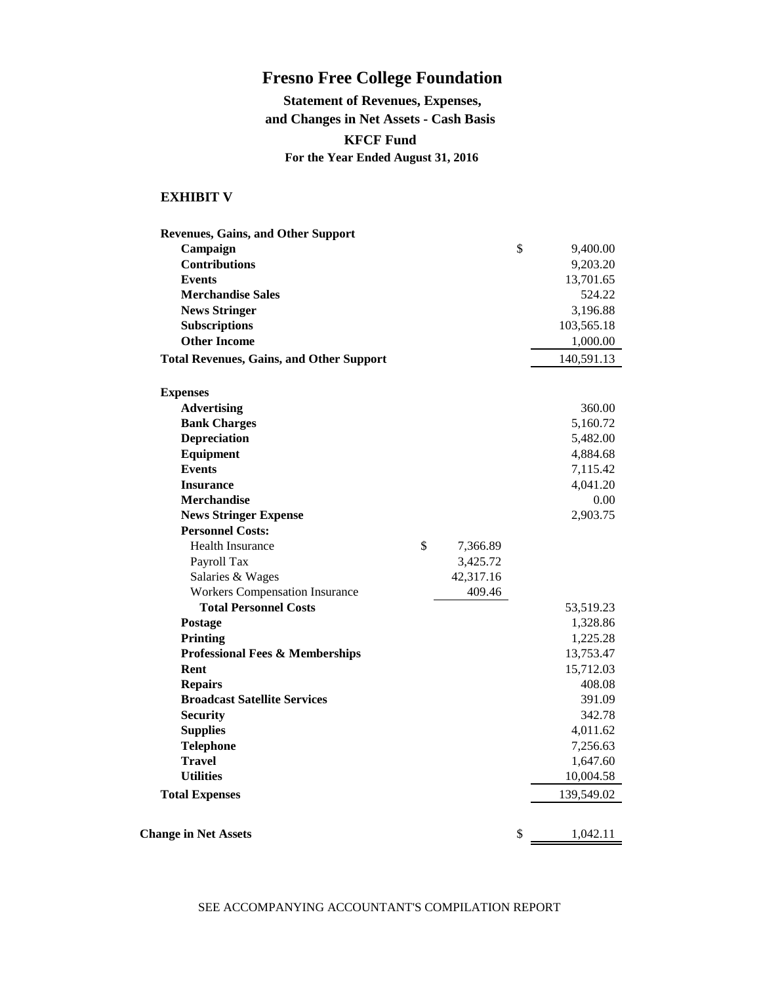**Statement of Revenues, Expenses, and Changes in Net Assets - Cash Basis KFCF Fund For the Year Ended August 31, 2016**

#### **EXHIBIT V**

| <b>Revenues, Gains, and Other Support</b>       |                |                |
|-------------------------------------------------|----------------|----------------|
| Campaign                                        |                | \$<br>9,400.00 |
| <b>Contributions</b>                            |                | 9,203.20       |
| <b>Events</b>                                   |                | 13,701.65      |
| <b>Merchandise Sales</b>                        |                | 524.22         |
| <b>News Stringer</b>                            |                | 3,196.88       |
| Subscriptions                                   |                | 103,565.18     |
| <b>Other Income</b>                             |                | 1,000.00       |
| <b>Total Revenues, Gains, and Other Support</b> |                | 140,591.13     |
| <b>Expenses</b>                                 |                |                |
| <b>Advertising</b>                              |                | 360.00         |
| <b>Bank Charges</b>                             |                | 5,160.72       |
| Depreciation                                    |                | 5,482.00       |
| Equipment                                       |                | 4,884.68       |
| <b>Events</b>                                   |                | 7,115.42       |
| <b>Insurance</b>                                |                | 4,041.20       |
| <b>Merchandise</b>                              |                | 0.00           |
| <b>News Stringer Expense</b>                    |                | 2,903.75       |
| <b>Personnel Costs:</b>                         |                |                |
| <b>Health Insurance</b>                         | \$<br>7,366.89 |                |
| Payroll Tax                                     | 3,425.72       |                |
| Salaries & Wages                                | 42,317.16      |                |
| <b>Workers Compensation Insurance</b>           | 409.46         |                |
| <b>Total Personnel Costs</b>                    |                | 53,519.23      |
| Postage                                         |                | 1,328.86       |
| Printing                                        |                | 1,225.28       |
| <b>Professional Fees &amp; Memberships</b>      |                | 13,753.47      |
| Rent                                            |                | 15,712.03      |
| <b>Repairs</b>                                  |                | 408.08         |
| <b>Broadcast Satellite Services</b>             |                | 391.09         |
| <b>Security</b>                                 |                | 342.78         |
| <b>Supplies</b>                                 |                | 4,011.62       |
| <b>Telephone</b>                                |                | 7,256.63       |
| <b>Travel</b>                                   |                | 1,647.60       |
| <b>Utilities</b>                                |                | 10,004.58      |
| <b>Total Expenses</b>                           |                | 139,549.02     |
|                                                 |                |                |
| <b>Change in Net Assets</b>                     |                | \$<br>1,042.11 |

SEE ACCOMPANYING ACCOUNTANT'S COMPILATION REPORT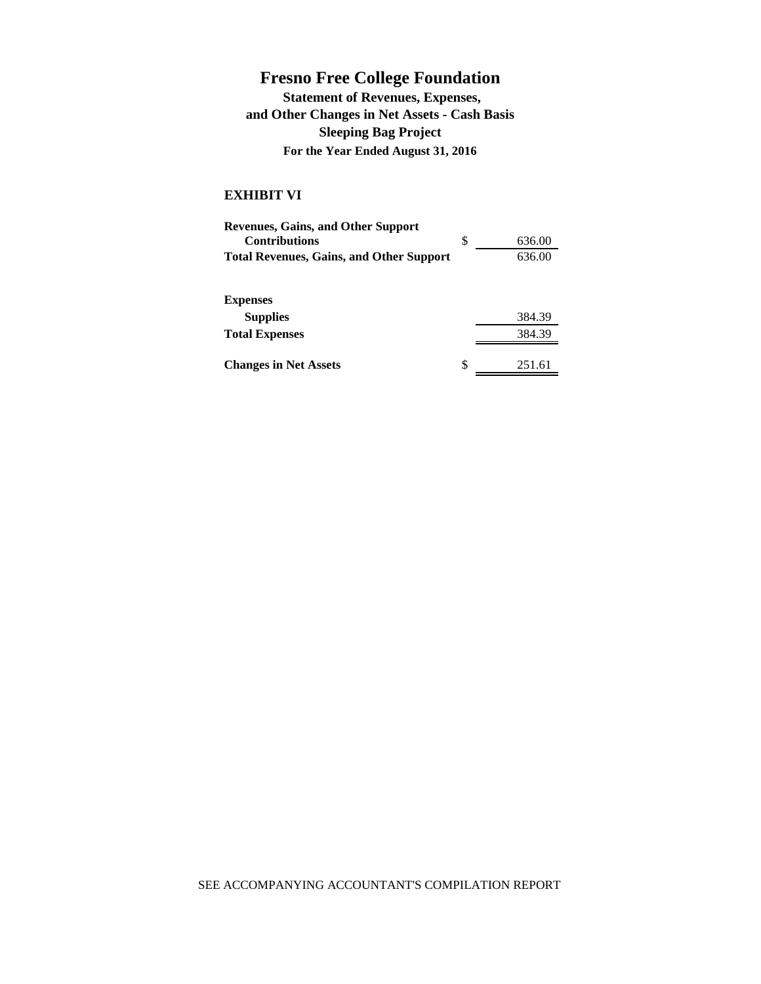**Statement of Revenues, Expenses, and Other Changes in Net Assets - Cash Basis Sleeping Bag Project For the Year Ended August 31, 2016**

### **EXHIBIT VI**

| <b>Revenues, Gains, and Other Support</b>       |    |        |
|-------------------------------------------------|----|--------|
| <b>Contributions</b>                            | \$ | 636.00 |
| <b>Total Revenues, Gains, and Other Support</b> |    | 636.00 |
| <b>Expenses</b>                                 |    |        |
| <b>Supplies</b>                                 |    | 384.39 |
| <b>Total Expenses</b>                           |    | 384.39 |
|                                                 |    |        |
| <b>Changes in Net Assets</b>                    | S  | 251.61 |

SEE ACCOMPANYING ACCOUNTANT'S COMPILATION REPORT